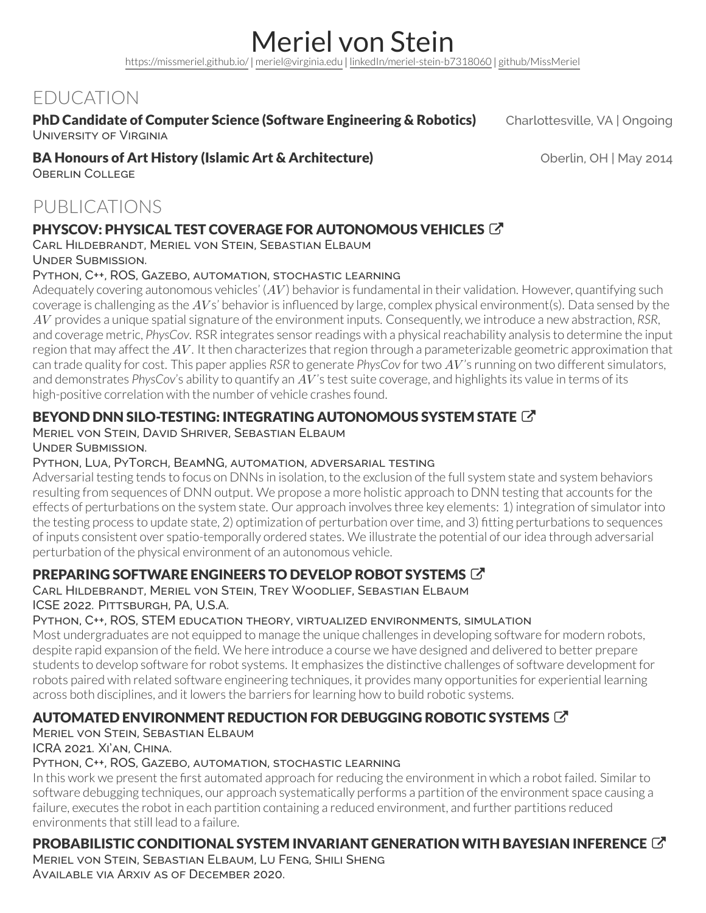Meriel von Stein <https://missmeriel.github.io/> *|* [meriel@virginia.edu](mailto:meriel@virginia.edu) *|* [linkedIn/meriel-stein-b7318060](https://linkedin.com/in/meriel-stein-b7318060) *|* [github/MissMeriel](https://github.com/MissMeriel)

# EDUCATION

#### PhD Candidate of Computer Science (Software Engineering & Robotics) Charlottesville, VA | Ongoing University of Virginia

#### **BA Honours of Art History (Islamic Art & Architecture) Canadian Constant Oberlin, OH | May 2014**

Oberlin College

# PUBLICATIONS

### PHYSCOV: PHYSICAL TEST COVERAGE FOR AUTONOMOUS VEHICLES

Carl Hildebrandt, Meriel von Stein, Sebastian Elbaum

Under Submission.

#### Python, C++, ROS, Gazebo, automation, stochastic learning

Adequately covering autonomous vehicles' (AV) behavior is fundamental in their validation. However, quantifying such coverage is challenging as the AVs' behavior is influenced by large, complex physical environment(s). Data sensed by the *AV* provides a unique spatial signature of the environment inputs. Consequently, we introduce a new abstraction, *RSR*, and coverage metric, *PhysCov.* RSR integrates sensor readings with a physical reachability analysis to determine the input region that may affect the  $AV$ . It then characterizes that region through a parameterizable geometric approximation that can trade quality for cost. This paper applies *RSR* to generate *PhysCov* fortwo *AV* 's running on two different simulators, and demonstrates *PhysCov*'s ability to quantify an *AV* 's test suite coverage, and highlights its value in terms of its high-positive correlation with the number of vehicle crashes found.

### BEYOND DNN SILO-TESTING: INTEGRATING AUTONOMOUS SYSTEM STATE [7]

### Meriel von Stein, David Shriver, Sebastian Elbaum

Under Submission.

#### Python, Lua, PyTorch, BeamNG, automation, adversarial testing

Adversarial testing tends to focus on DNNs in isolation, to the exclusion of the full system state and system behaviors resulting from sequences of DNN output. We propose a more holistic approach to DNN testing that accounts forthe effects of perturbations on the system state. Our approach involves three key elements: 1) integration of simulator into the testing process to update state, 2) optimization of perturbation over time, and 3) fitting perturbations to sequences of inputs consistent over spatio-temporally ordered states. We illustrate the potential of ouridea through adversarial perturbation of the physical environment of an autonomous vehicle.

## PREPARING SOFTWARE ENGINEERS TO DEVELOP ROBOT SYSTEMS

#### Carl Hildebrandt, Meriel von Stein, Trey Woodlief, Sebastian Elbaum ICSE 2022. Pittsburgh, PA, U.S.A.

#### Python, C++, ROS, STEM education theory, virtualized environments, simulation

Most undergraduates are not equipped to manage the unique challenges in developing software for modern robots, despite rapid expansion of the field. We here introduce a course we have designed and delivered to better prepare students to develop software for robot systems. It emphasizes the distinctive challenges of software development for robots paired with related software engineering techniques, it provides many opportunities for experiential learning across both disciplines, and it lowers the barriers for learning how to build robotic systems.

## [AUTOMATED ENVIRONMENT REDUCTION FOR DEBUGGING ROBOTIC SYSTEMS](https://ieeexplore.ieee.org/document/9561997) C

#### Meriel von Stein, Sebastian Elbaum ICRA 2021. Xi'an, China.

## Python, C++, ROS, Gazebo, automation, stochastic learning

In this work we present the first automated approach for reducing the environment in which a robot failed. Similar to software debugging techniques, our approach systematically performs a partition of the environment space causing a failure, executes the robot in each partition containing a reduced environment, and further partitions reduced environments that still lead to a failure.

## [PROBABILISTIC CONDITIONAL SYSTEM INVARIANT GENERATION WITH BAYESIAN INFERENCE](https://arxiv.org/abs/2012.06615)

Meriel von Stein, Sebastian Elbaum, Lu Feng, Shili Sheng Available via Arxiv as of December 2020.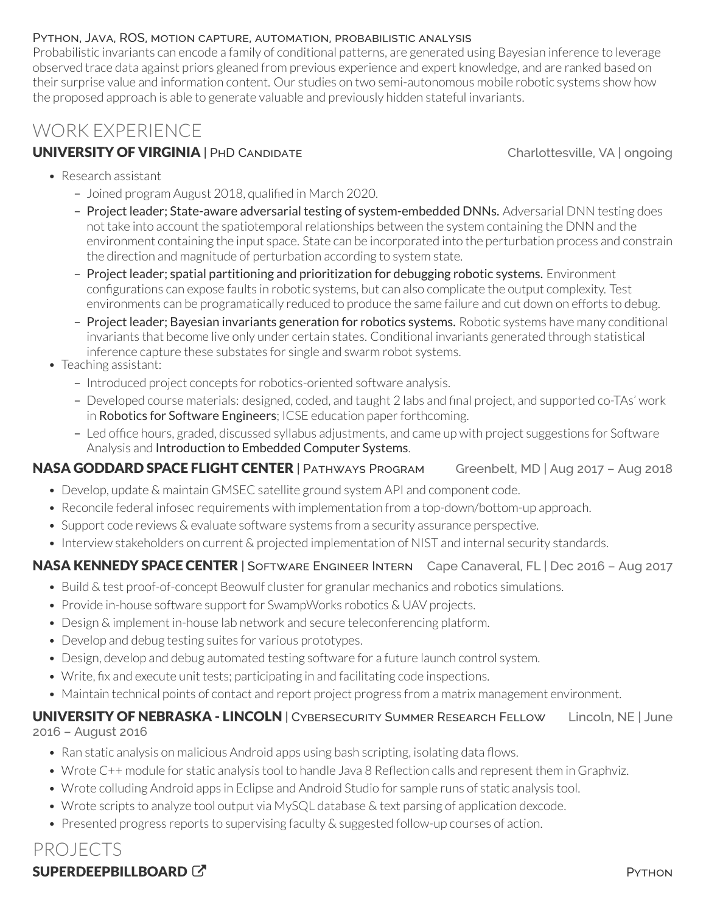#### Python, Java, ROS, motion capture, automation, probabilistic analysis

Probabilistic invariants can encode a family of conditional patterns, are generated using Bayesian inference to leverage observed trace data against priors gleaned from previous experience and expert knowledge, and are ranked based on their surprise value and information content. Our studies on two semi-autonomous mobile robotic systems show how the proposed approach is able to generate valuable and previously hidden stateful invariants.

# WORK EXPERIENCE

### UNIVERSITY OF VIRGINIA | PHD CANDIDATE Charlottesville, VA | ongoing

- Research assistant
	- Joined program August 2018, qualified in March 2020.
	- Project leader; State-aware adversarial testing of system-embedded DNNs. Adversarial DNN testing does not take into account the spatiotemporal relationships between the system containing the DNN and the environment containing the input space. State can be incorporated into the perturbation process and constrain the direction and magnitude of perturbation according to system state.
	- Project leader; spatial partitioning and prioritization for debugging robotic systems. Environment configurations can expose faults in robotic systems, but can also complicate the output complexity. Test environments can be programatically reduced to produce the same failure and cut down on efforts to debug.
	- Project leader; Bayesian invariants generation for robotics systems. Robotic systems have many conditional invariants that become live only under certain states. Conditional invariants generated through statistical inference capture these substates for single and swarm robot systems.
- Teaching assistant:
	- Introduced project concepts forrobotics-oriented software analysis.
	- Developed course materials: designed, coded, and taught 2 labs and final project, and supported co-TAs' work in Robotics for Software [Engineers](https://less-lab-uva.github.io/education/##Robotics4SE); ICSE education paper forthcoming.
	- Led office hours, graded, discussed syllabus adjustments, and came up with project suggestions for Software Analysis and [Introduction](https://collab.its.virginia.edu/syllabi/public/1c09699c-ecb3-49ff-82bb-14f8653cfc3f) to Embedded Computer Systems.

### NASA GODDARD SPACE FLIGHT CENTER | PATHWAYS PROGRAM Greenbelt, MD | Aug 2017 - Aug 2018

- Develop, update & maintain GMSEC satellite ground system API and component code.
- Reconcile federal infosec requirements with implementation from a top-down/bottom-up approach.
- Support code reviews & evaluate software systems from a security assurance perspective.
- Interview stakeholders on current & projected implementation of NIST and internal security standards.

### NASA KENNEDY SPACE CENTER | SOFTWARE ENGINEER INTERN Cape Canaveral, FL | Dec 2016 - Aug 2017

- Build & test proof-of-concept Beowulf cluster for granular mechanics and robotics simulations.
- Provide in-house software support for SwampWorks robotics & UAV projects.
- Design & implement in-house lab network and secure teleconferencing platform.
- Develop and debug testing suites for various prototypes.
- Design, develop and debug automated testing software for a future launch control system.
- Write, fix and execute unit tests; participating in and facilitating code inspections.
- Maintain technical points of contact and report project progress from a matrix management environment.

#### UNIVERSITY OF NEBRASKA - LINCOLN | CYBERSECURITY SUMMER RESEARCH FELLOW Lincoln, NE | June 2016 – August 2016

- Ran static analysis on malicious Android apps using bash scripting, isolating data flows.
- Wrote C++ module for static analysis tool to handle Java 8 Reflection calls and represent them in Graphviz.
- Wrote colluding Android apps in Eclipse and Android Studio for sample runs of static analysis tool.
- Wrote scripts to analyze tool output via MySQL database & text parsing of application dexcode.
- Presented progress reports to supervising faculty & suggested follow-up courses of action.

# PROJECTS

## [SUPERDEEPBILLBOARD](https://github.com/MissMeriel/superdeepbillboard)  $\mathbb{Z}$